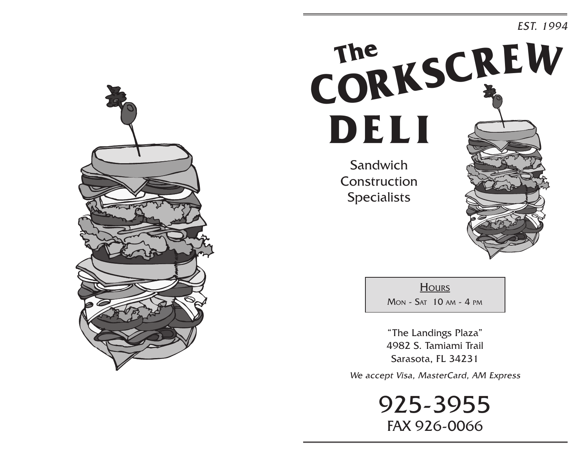## EST. 1994



**Hours** 

Mon - Sat 10 am - 4 pm

"The Landings Plaza" 4982 S. Tamiami Trail Sarasota, FL 34231

We accept Visa, MasterCard, AM Express

925-3955 FAX 926-0066